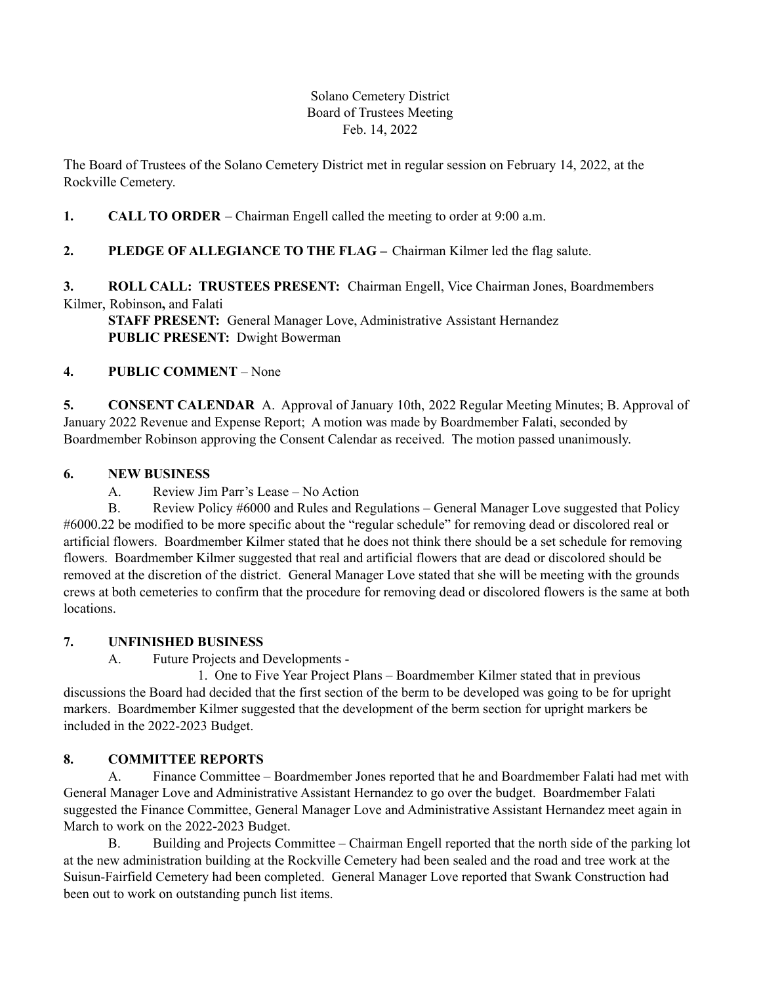## Solano Cemetery District Board of Trustees Meeting Feb. 14, 2022

The Board of Trustees of the Solano Cemetery District met in regular session on February 14, 2022, at the Rockville Cemetery.

# **1. CALL TO ORDER** – Chairman Engell called the meeting to order at 9:00 a.m.

## **2. PLEDGE OF ALLEGIANCE TO THE FLAG –** Chairman Kilmer led the flag salute.

## **3. ROLL CALL: TRUSTEES PRESENT:** Chairman Engell, Vice Chairman Jones, Boardmembers Kilmer, Robinson**,** and Falati

**STAFF PRESENT:** General Manager Love, Administrative Assistant Hernandez **PUBLIC PRESENT:** Dwight Bowerman

## **4. PUBLIC COMMENT** – None

**5. CONSENT CALENDAR** A. Approval of January 10th, 2022 Regular Meeting Minutes; B. Approval of January 2022 Revenue and Expense Report; A motion was made by Boardmember Falati, seconded by Boardmember Robinson approving the Consent Calendar as received. The motion passed unanimously.

## **6. NEW BUSINESS**

A. Review Jim Parr's Lease – No Action

B. Review Policy #6000 and Rules and Regulations – General Manager Love suggested that Policy #6000.22 be modified to be more specific about the "regular schedule" for removing dead or discolored real or artificial flowers. Boardmember Kilmer stated that he does not think there should be a set schedule for removing flowers. Boardmember Kilmer suggested that real and artificial flowers that are dead or discolored should be removed at the discretion of the district. General Manager Love stated that she will be meeting with the grounds crews at both cemeteries to confirm that the procedure for removing dead or discolored flowers is the same at both locations.

## **7. UNFINISHED BUSINESS**

A. Future Projects and Developments -

1. One to Five Year Project Plans – Boardmember Kilmer stated that in previous discussions the Board had decided that the first section of the berm to be developed was going to be for upright markers. Boardmember Kilmer suggested that the development of the berm section for upright markers be included in the 2022-2023 Budget.

## **8. COMMITTEE REPORTS**

A. Finance Committee – Boardmember Jones reported that he and Boardmember Falati had met with General Manager Love and Administrative Assistant Hernandez to go over the budget. Boardmember Falati suggested the Finance Committee, General Manager Love and Administrative Assistant Hernandez meet again in March to work on the 2022-2023 Budget.

B. Building and Projects Committee – Chairman Engell reported that the north side of the parking lot at the new administration building at the Rockville Cemetery had been sealed and the road and tree work at the Suisun-Fairfield Cemetery had been completed. General Manager Love reported that Swank Construction had been out to work on outstanding punch list items.